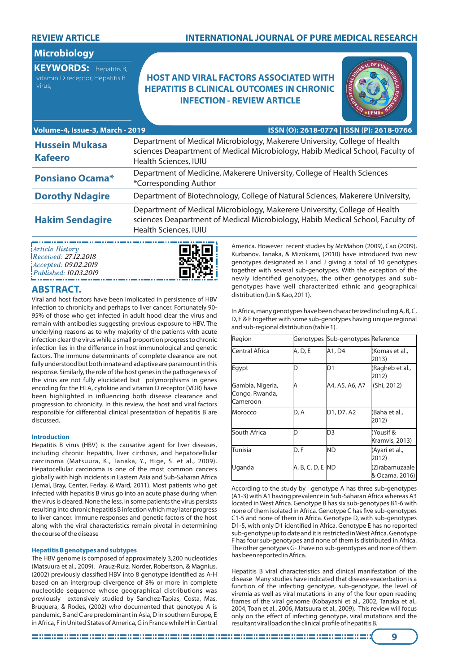### **REVIEW ARTICLE**

## **INTERNATIONAL JOURNAL OF PURE MEDICAL RESEARCH**

# **Microbiology**

**KEYWORDS:** hepatitis B, vitamin D receptor, Hepatitis B

# **HOST AND VIRAL FACTORS ASSOCIATED WITH HEPATITIS B CLINICAL OUTCOMES IN CHRONIC INFECTION - REVIEW ARTICLE**



| Volume-4, Issue-3, March - 2019         | ISSN (O): 2618-0774   ISSN (P): 2618-0766                                                                                                                                             |
|-----------------------------------------|---------------------------------------------------------------------------------------------------------------------------------------------------------------------------------------|
| <b>Hussein Mukasa</b><br><b>Kafeero</b> | Department of Medical Microbiology, Makerere University, College of Health<br>sciences Deapartment of Medical Microbiology, Habib Medical School, Faculty of<br>Health Sciences, IUIU |
| <b>Ponsiano Ocama*</b>                  | Department of Medicine, Makerere University, College of Health Sciences<br>*Corresponding Author                                                                                      |
| <b>Dorothy Ndagire</b>                  | Department of Biotechnology, College of Natural Sciences, Makerere University,                                                                                                        |
| <b>Hakim Sendagire</b>                  | Department of Medical Microbiology, Makerere University, College of Health<br>sciences Deapartment of Medical Microbiology, Habib Medical School, Faculty of<br>Health Sciences, IUIU |

*Article History Received: 27.12.2018 Accepted: 09.02.2019 Published: 10.03.2019*



## **ABSTRACT.**

Viral and host factors have been implicated in persistence of HBV infection to chronicity and perhaps to liver cancer. Fortunately 90- 95% of those who get infected in adult hood clear the virus and remain with antibodies suggesting previous exposure to HBV. The underlying reasons as to why majority of the patients with acute infection clear the virus while a small proportion progress to chronic infection lies in the difference in host immunological and genetic factors. The immune determinants of complete clearance are not fully understood but both innate and adaptive are paramount in this response. Similarly, the role of the host genes in the pathogenesis of the virus are not fully elucidated but polymorphisms in genes encoding for the HLA, cytokine and vitamin D receptor (VDR) have been highlighted in influencing both disease clearance and progression to chronicity. In this review, the host and viral factors responsible for differential clinical presentation of hepatitis B are discussed.

### **Introduction**

Hepatitis B virus (HBV) is the causative agent for liver diseases, including chronic hepatitis, liver cirrhosis, and hepatocellular carcinoma (Matsuura, K., Tanaka, Y., Hige, S. et al., 2009). Hepatocellular carcinoma is one of the most common cancers globally with high incidents in Eastern Asia and Sub-Saharan Africa (Jemal, Bray, Center, Ferlay, & Ward, 2011). Most patients who get infected with hepatitis B virus go into an acute phase during when the virus is cleared. None the less, in some patients the virus persists resulting into chronic hepatitis B infection which may later progress to liver cancer. Immune responses and genetic factors of the host along with the viral characteristics remain pivotal in determining the course of the disease

#### **Hepatitis B genotypes and subtypes**

The HBV genome is composed of approximately 3,200 nucleotides (Matsuura et al., 2009). Arauz-Ruiz, Norder, Robertson, & Magnius, (2002) previously classified HBV into 8 genotype identified as A-H based on an intergroup divergence of 8% or more in complete nucleotide sequence whose geographical distributions was previously extensively studied by Sanchez-Tapias, Costa, Mas, Bruguera, & Rodes, (2002) who documented that genotype A is pandemic, B and C are predominant in Asia, D in southern Europe, E in Africa, F in United States of America, G in France while H in Central

America. However recent studies by McMahon (2009), Cao (2009), Kurbanov, Tanaka, & Mizokami, (2010) have introduced two new genotypes designated as I and J giving a total of 10 genotypes together with several sub-genotypes. With the exception of the newly identified genotypes, the other genotypes and subgenotypes have well characterized ethnic and geographical distribution (Lin & Kao, 2011).

In Africa, many genotypes have been characterized including A, B, C, D, E & F together with some sub-genotypes having unique regional and sub-regional distribution (table 1).

| Region                                         |                  | Genotypes Sub-genotypes Reference |                                  |
|------------------------------------------------|------------------|-----------------------------------|----------------------------------|
| Central Africa                                 | A, D, E          | A1, D4                            | (Komas et al.,<br>2013)          |
| Egypt                                          |                  | D1                                | (Ragheb et al.,<br>2012)         |
| Gambia, Nigeria,<br>Congo, Rwanda,<br>Cameroon | Α                | A4, A5, A6, A7                    | (Shi, 2012)                      |
| Morocco                                        | D, A             | D1, D7, A2                        | (Baha et al.,<br>2012)           |
| South Africa                                   | n                | D3                                | Yousif &<br>Kramvis, 2013)       |
| Tunisia                                        | D, F             | ND                                | (Ayari et al.,<br>2012)          |
| Uganda                                         | A, B, C, D, E ND |                                   | (Zirabamuzaale<br>& Ocama, 2016) |

According to the study by genotype A has three sub-genotypes (A1-3) with A1 having prevalence in Sub-Saharan Africa whereas A3 located in West Africa. Genotype B has six sub-genotypes B1-6 with none of them isolated in Africa. Genotype C has five sub-genotypes C1-5 and none of them in Africa. Genotype D, with sub-genotypes D1-5, with only D1 identified in Africa. Genotype E has no reported sub-genotype up to date and it is restricted in West Africa. Genotype F has four sub-genotypes and none of them is distributed in Africa. The other genotypes G- J have no sub-genotypes and none of them has been reported in Africa.

Hepatitis B viral characteristics and clinical manifestation of the disease Many studies have indicated that disease exacerbation is a function of the infecting genotype, sub-genotype, the level of viremia as well as viral mutations in any of the four open reading frames of the viral genome (Kobayashi et al., 2002, Tanaka et al., 2004, Toan et al., 2006, Matsuura et al., 2009). This review will focus only on the effect of infecting genotype, viral mutations and the resultant viral load on the clinical profile of hepatitis B.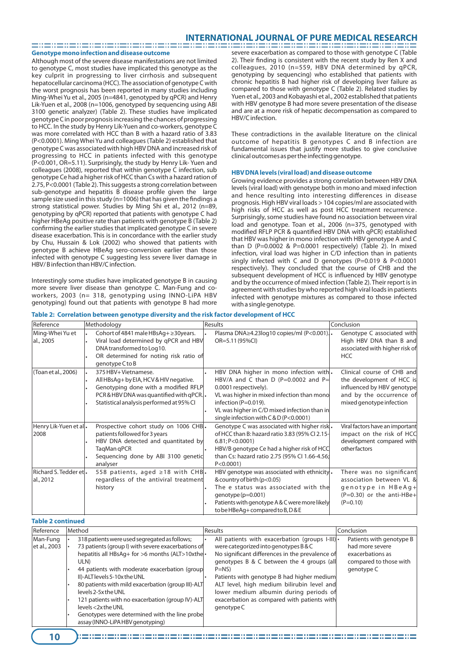**Genotype mono infection and disease outcome** 

Although most of the severe disease manifestations are not limited to genotype C, most studies have implicated this genotype as the key culprit in progressing to liver cirrhosis and subsequent hepatocellular carcinoma (HCC). The association of genotype C with the worst prognosis has been reported in many studies including Ming-Whei Yu et al., 2005 (n=4841, genotyped by qPCR) and Henry Lik-Yuen et al., 2008 (n=1006, genotyped by sequencing using ABI 3100 genetic analyzer) (Table 2). These studies have implicated genotype C in poor prognosis increasing the chances of progressing to HCC. In the study by Henry Lik-Yuen and co-workers, genotype C was more correlated with HCC than B with a hazard ratio of 3.83 (P<0.0001). Ming Whei Yu and colleagues (Table 2) established that genotype C was associated with high HBV DNA and increased risk of progressing to HCC in patients infected with this genotype (P<0.001, OR=5.11). Surprisingly, the study by Henry Lik- Yuen and colleagues (2008), reported that within genotype C infection, sub genotype Ce had a higher risk of HCC than Cs with a hazard ration of 2.75, P<0.0001 (Table 2). This suggests a strong correlation between  $sub-genotype$  and hepatitis  $B$  disease profile given the large sample size used in this study (n=1006) that has given the findings a strong statistical power. Studies by Ming Shi et al., 2012 (n=89, genotyping by qPCR) reported that patients with genotype C had higher HBeAg positive rate than patients with genotype B (Table 2) confirming the earlier studies that implicated genotype C in severe disease exacerbation. This is in concordance with the earlier study by Chu, Hussain & Lok (2002) who showed that patients with genotype B achieve HBeAg sero-conversion earlier than those infected with genotype C suggesting less severe liver damage in HBV/ B infection than HBV/C infection.

Interestingly some studies have implicated genotype B in causing more severe liver disease than genotype C. Man-Fung and coworkers, 2003 (n= 318, genotyping using INNO-LiPA HBV genotyping) found out that patients with genotype B had more severe exacerbation as compared to those with genotype C (Table 2). Their finding is consistent with the recent study by Ren X and colleagues, 2010 (n=559, HBV DNA determined by qPCR, genotyping by sequencing) who established that patients with chronic hepatitis B had higher risk of developing liver failure as compared to those with genotype C (Table 2). Related studies by Yuen et al., 2003 and Kobayashi et al., 2002 established that patients with HBV genotype B had more severe presentation of the disease and are at a more risk of hepatic decompensation as compared to HBV/C infection.

These contradictions in the available literature on the clinical outcome of hepatitis B genotypes C and B infection are fundamental issues that justify more studies to give conclusive clinical outcomes as per the infecting genotype.

#### **HBV DNA levels (viral load) and disease outcome**

Growing evidence provides a strong correlation between HBV DNA levels (viral load) with genotype both in mono and mixed infection and hence resulting into interesting differences in disease prognosis. High HBV viral loads > 104 copies/ml are associated with high risks of HCC as well as post HCC treatment recurrence . Surprisingly, some studies have found no association between viral load and genotype. Toan et al., 2006 (n=375, genotyped with modified RFLP PCR & quantified HBV DNA with qPCR) established that HBV was higher in mono infection with HBV genotype A and C than D (P=0.0002 & P=0.0001 respectively) (Table 2). In mixed infection, viral load was higher in C/D infection than in patients singly infected with C and D genotypes (P=0.019 & P<0.0001 respectively). They concluded that the course of CHB and the subsequent development of HCC is influenced by HBV genotype and by the occurrence of mixed infection (Table 2). Their report is in agreement with studies by who reported high viral loads in patients infected with genotype mixtures as compared to those infected with a single genotype.

| Reference                                                | Methodology                                                                                                                                                                                  | Results                                                                                                                                                                                                                                                                | Conclusion                                                                                                                                    |
|----------------------------------------------------------|----------------------------------------------------------------------------------------------------------------------------------------------------------------------------------------------|------------------------------------------------------------------------------------------------------------------------------------------------------------------------------------------------------------------------------------------------------------------------|-----------------------------------------------------------------------------------------------------------------------------------------------|
| Ming-Whei Yu et<br>al., 2005                             | Cohort of 4841 male HBsAg+ ≥30years.<br>Viral load determined by qPCR and HBV<br>DNA transformed to Log10.<br>OR determined for noting risk ratio of<br>genotype C to B                      | Plasma DNA≥4.23log10 copies/ml (P<0.001).<br>OR=5.11 (95%CI)                                                                                                                                                                                                           | Genotype C associated with<br>High HBV DNA than B and<br>associated with higher risk of<br><b>HCC</b>                                         |
| (Toan et al., 2006)                                      | 375 HBV+Vietnamese.<br>All HBsAg+ by EIA, HCV & HIV negative.<br>Genotyping done with a modified RFLP<br>PCR & HBV DNA was quantified with qPCR.<br>Statistical analysis performed at 95% CI | HBV DNA higher in mono infection with.<br>HBV/A and C than D (P=0.0002 and P=<br>0.0001 respectively).<br>VL was higher in mixed infection than mono<br>infection (P=0.019).<br>VL was higher in C/D mixed infection than in<br>single infection with C & D (P<0.0001) | Clinical course of CHB and<br>the development of HCC is<br>influenced by HBV genotype<br>and by the occurrence of<br>mixed genotype infection |
| Henry Lik-Yuen et al.<br>2008                            | Prospective cohort study on 1006 CHB.<br>patients followed for 3 years<br>HBV DNA detected and quantitated by<br>TagMan gPCR<br>Sequencing done by ABI 3100 genetic<br>analyser              | Genotype C was associated with higher risk.<br>of HCC than B: hazard ratio 3.83 (95% CI 2.15-<br>6.81; P < 0.0001<br>HBV/B genotype Ce had a higher risk of HCC<br>than Cs: hazard ratio 2.75 (95% Cl 1.66-4.56;<br>P < 0.0001                                         | Viral factors have an important<br>impact on the risk of HCC<br>development compared with<br>otherfactors                                     |
| $Richard$ S. Tedder et $\boldsymbol{\cdot}$<br>al., 2012 | 558 patients, aged $\geq$ 18 with CHB.<br>regardless of the antiviral treatment<br>history                                                                                                   | HBV genotype was associated with ethnicity.<br>& country of birth (p<0.05)<br>The e status was associated with the<br>genotype $(p=0.001)$<br>Patients with genotype A & C were more likely<br>to be HBeAq+ compared to B, D & E                                       | There was no significant<br>association between VL &<br>genotype in $HBeAg+$<br>$(P=0.30)$ or the anti-HBe+<br>$(P=0.10)$                     |

**Table 2: Correlation between genotype diversity and the risk factor development of HCC**

| <b>Table 2 continued</b> |                                                                                                                                                                                                                                                                                                                                                                                                                                                                                              |                                                                                                                                                                                                                                                                                                                                                                                                     |                                                                                                         |  |  |  |
|--------------------------|----------------------------------------------------------------------------------------------------------------------------------------------------------------------------------------------------------------------------------------------------------------------------------------------------------------------------------------------------------------------------------------------------------------------------------------------------------------------------------------------|-----------------------------------------------------------------------------------------------------------------------------------------------------------------------------------------------------------------------------------------------------------------------------------------------------------------------------------------------------------------------------------------------------|---------------------------------------------------------------------------------------------------------|--|--|--|
| Reference                | Method                                                                                                                                                                                                                                                                                                                                                                                                                                                                                       | Results                                                                                                                                                                                                                                                                                                                                                                                             | Conclusion                                                                                              |  |  |  |
| Man-Fung<br>et al., 2003 | 318 patients were used segregated as follows;<br>73 patients (group I) with severe exacerbations of<br>hepatitis all HBsAq+ for >6 months (ALT>10xthel•<br>ULN)<br>44 patients with moderate exacerbation (group<br>II)-ALT levels 5-10x the UNL<br>80 patients with mild exacerbation (group III)-ALT<br>levels 2-5x the UNL<br>121 patients with no exacerbation (group IV)-ALT<br>levels <2x the UNL<br>Genotypes were determined with the line probe<br>assay (INNO-LiPA HBV genotyping) | All patients with exacerbation (groups I-III)<br>were categorized into genotypes B & C<br>No significant differences in the prevalence of<br>genotypes B & C between the 4 groups (all<br>$P=NS$<br>Patients with genotype B had higher medium<br>ALT level, high medium bilirubin level and<br>lower medium albumin during periods of<br>exacerbation as compared with patients with<br>genotype C | Patients with genotype B<br>had more severe<br>exacerbations as<br>compared to those with<br>genotype C |  |  |  |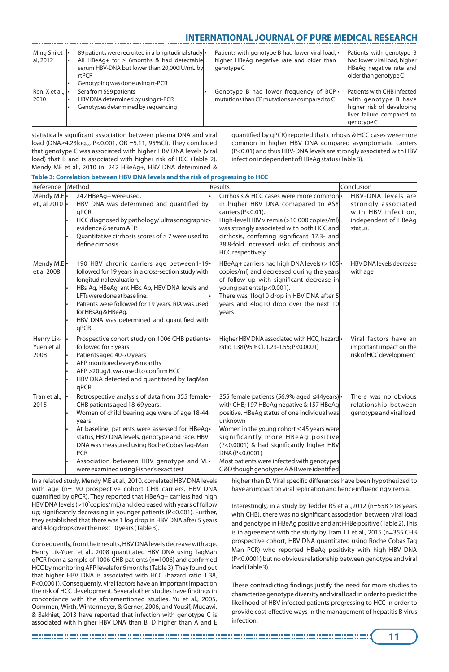| Ming Shi et                                | 89 patients were recruited in a longitudinal study . | Patients with genotype B had lower viral load, | Patients with genotype B     |
|--------------------------------------------|------------------------------------------------------|------------------------------------------------|------------------------------|
| al, 2012                                   | All HBeAq+ for $\geq$ 6months & had detectable       | higher HBeAg negative rate and older than      | had lower viral load, higher |
|                                            | serum HBV-DNA but lower than 20,000IU/mL by          | genotype C                                     | HBeAg negative rate and      |
|                                            | rtPCR                                                |                                                | older than genotype C        |
|                                            | Genotyping was done using rt-PCR                     |                                                |                              |
| $\vert$ Ren. X et al., $\vert \cdot \vert$ | Sera from 559 patients                               | Genotype B had lower frequency of BCP.         | Patients with CHB infected   |
| 2010                                       | HBV DNA determined by using rt-PCR                   | mutations than CP mutations as compared to $C$ | with genotype B have         |
|                                            | Genotypes determined by sequencing                   |                                                | higher risk of developing    |
|                                            |                                                      |                                                | liver failure compared to    |
|                                            |                                                      |                                                | genotype C                   |

statistically significant association between plasma DNA and viral load (DNA≥4.23log<sub>10</sub>, P<0.001, OR =5.11, 95%CI). They concluded that genotype C was associated with higher HBV DNA levels (viral load) that B and is associated with higher risk of HCC (Table 2). Mendy ME et al., 2010 (n=242 HBeAg+, HBV DNA determined &

quantified by qPCR) reported that cirrhosis & HCC cases were more common in higher HBV DNA compared asymptomatic carriers (P<0.01) and thus HBV-DNA levels are strongly associated with HBV infection independent of HBeAg status (Table 3).

| Reference                        | Method                                                                                                                                                                                                                                                                                                                                                                                            | Results                                                                                                                                                                                                                                                                                                                                                                                            | Conclusion                                                                                          |  |  |
|----------------------------------|---------------------------------------------------------------------------------------------------------------------------------------------------------------------------------------------------------------------------------------------------------------------------------------------------------------------------------------------------------------------------------------------------|----------------------------------------------------------------------------------------------------------------------------------------------------------------------------------------------------------------------------------------------------------------------------------------------------------------------------------------------------------------------------------------------------|-----------------------------------------------------------------------------------------------------|--|--|
| Mendy M.E.<br>et., al 2010       | 242 HBeAg+ were used.<br>HBV DNA was determined and quantified by<br>qPCR.<br>HCC diagnosed by pathology/ultrasonographic-<br>evidence & serum AFP.<br>Quantitative cirrhosis scores of $\geq$ 7 were used to<br>define cirrhosis                                                                                                                                                                 | Cirrhosis & HCC cases were more common •<br>in higher HBV DNA comapared to ASY<br>carriers (P<0.01).<br>High-level HBV viremia (>10 000 copies/ml)<br>was strongly associated with both HCC and<br>cirrhosis, conferring significant 17.3- and<br>38.8-fold increased risks of cirrhosis and<br><b>HCC</b> respectively                                                                            | HBV-DNA levels are<br>strongly associated<br>with HBV infection,<br>independent of HBeAg<br>status. |  |  |
| Mendy M.E.<br>et al 2008         | 190 HBV chronic carriers age between1-19.<br>followed for 19 years in a cross-section study with<br>longitudinal evaluation.<br>HBs Ag, HBeAg, ant HBc Ab, HBV DNA levels and<br>LFTs were done at base line.<br>Patients were followed for 19 years. RIA was used<br>for HBsAg & HBeAg.<br>HBV DNA was determined and quantified with<br>qPCR                                                    | HBeAg+ carriers had high DNA levels ( $>$ 105 $\cdot$ )<br>copies/ml) and decreased during the years<br>of follow up with significant decrease in<br>young patients (p<0.001).<br>There was 1log10 drop in HBV DNA after 5<br>years and 4log10 drop over the next 10<br>years                                                                                                                      | HBV DNA levels decrease<br>withage                                                                  |  |  |
| Henry Lik-<br>Yuen et al<br>2008 | Prospective cohort study on 1006 CHB patients<br>followed for 3 years<br>Patients aged 40-70 years<br>AFP monitored every 6 months<br>AFP > 20µg/L was used to confirm HCC<br>HBV DNA detected and quantitated by TagMan<br>qPCR                                                                                                                                                                  | Higher HBV DNA associated with HCC, hazard •<br>ratio 1.38 (95% Cl. 1.23-1.55; P<0.0001)                                                                                                                                                                                                                                                                                                           | Viral factors have an<br>important impact on the<br>risk of HCC development                         |  |  |
| Tran et al.,<br>2015             | Retrospective analysis of data from 355 female-<br>CHB patients aged 18-69 years.<br>Women of child bearing age were of age 18-44<br>years<br>At baseline, patients were assessed for HBeAq-<br>status, HBV DNA levels, genotype and race. HBV<br>DNA was measured using Roche Cobas Taq-Man<br><b>PCR</b><br>Association between HBV genotype and VL-<br>were examined using Fisher's exact test | 355 female patients (56.9% aged ≤44years) •<br>with CHB; 197 HBeAg negative & 157 HBeAg<br>positive. HBeAq status of one individual was<br>unknown<br>Women in the young cohort $\leq$ 45 years were<br>significantly more HBeAg positive<br>(P<0.0001) & had significantly higher HBV<br>DNA (P<0.0001)<br>Most patients were infected with genotypes<br>C&D though genotypes A&B were identified | There was no obvious<br>relationship between<br>genotype and viral load                             |  |  |

### **Table 3: Correlation between HBV DNA levels and the risk of progressing to HCC**

In a related study, Mendy ME et al., 2010, correlated HBV DNA levels with age (n=190 prospective cohort CHB carriers, HBV DNA quantified by qPCR). They reported that HBeAg+ carriers had high HBV DNA levels (>10<sup>5</sup> copies/mL) and decreased with years of follow up; significantly decreasing in younger patients (P<0.001). Further, they established that there was 1 log drop in HBV DNA after 5 years and 4 log drops over the next 10 years (Table 3).

Consequently, from their results, HBV DNA levels decrease with age. Henry Lik-Yuen et al., 2008 quantitated HBV DNA using TaqMan qPCR from a sample of 1006 CHB patients (n=1006) and confirmed HCC by monitoring AFP levels for 6 months (Table 3). They found out that higher HBV DNA is associated with HCC (hazard ratio 1.38, P<0.0001). Consequently, viral factors have an important impact on the risk of HCC development. Several other studies have findings in concordance with the aforementioned studies. Yu et al., 2005, Oommen, Wirth, Wintermeyer, & Gerner, 2006, and Yousif, Mudawi, & Bakhiet, 2013 have reported that infection with genotype C is associated with higher HBV DNA than B, D higher than A and E

higher than D. Viral specific differences have been hypothesized to have an impact on viral replication and hence influencing viremia.

Interestingly, in a study by Tedder RS et al.,2012 (n=558 ≥18 years with CHB), there was no significant association between viral load and genotype in HBeAg positive and anti-HBe positive (Table 2). This is in agreement with the study by Tram TT et al., 2015 (n=355 CHB prospective cohort, HBV DNA quantitated using Roche Cobas Taq Man PCR) who reported HBeAg positivity with high HBV DNA (P<0.0001) but no obvious relationship between genotype and viral load (Table 3).

These contradicting findings justify the need for more studies to characterize genotype diversity and viral load in order to predict the likelihood of HBV infected patients progressing to HCC in order to provide cost-effective ways in the management of hepatitis B virus infection.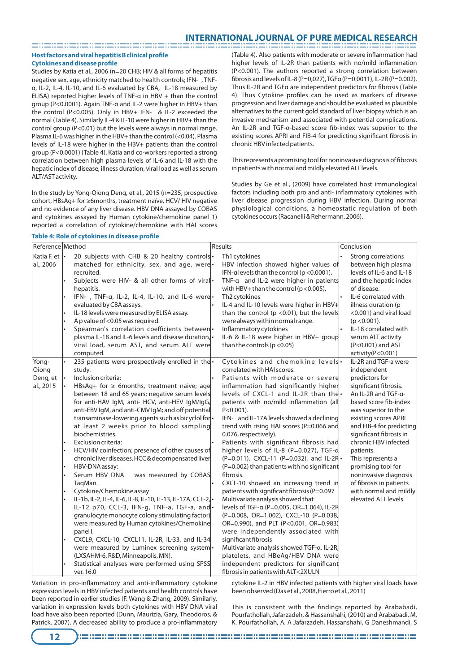### **Host factors and viral hepatitis B clinical profile Cytokines and disease profile**

Studies by Katia et al., 2006 (n=20 CHB; HIV & all forms of hepatitis negative sex, age, ethnicity matched to health controls; IFN-, TNFα, IL-2, IL-4, IL-10, and IL-6 evaluated by CBA, IL-18 measured by ELISA) reported higher levels of TNF-α in HBV + than the control group (P<0.0001). Again TNF-α and IL-2 were higher in HBV+ than the control (P<0.005). Only in HBV+ IFN- & IL-2 exceeded the normal (Table 4). Similarly IL-4 & IL-10 were higher in HBV+ than the control group (P<0.01) but the levels were always in normal range. Plasma IL-6 was higher in the HBV+ than the control (<0.04). Plasma levels of IL-18 were higher in the HBV+ patients than the control group (P<0.0001) (Table 4). Katia and co-workers reported a strong correlation between high plasma levels of IL-6 and IL-18 with the hepatic index of disease, illness duration, viral load as well as serum ALT/AST activity.

In the study by Yong-Qiong Deng, et al., 2015 (n=235, prospective cohort, HBsAg+ for ≥6months, treatment naïve, HCV/ HIV negative and no evidence of any liver disease. HBV DNA assayed by COBAS and cytokines assayed by Human cytokine/chemokine panel 1) reported a correlation of cytokine/chemokine with HAI scores

(Table 4). Also patients with moderate or severe inflammation had higher levels of IL-2R than patients with no/mild inflammation (P<0.001). The authors reported a strong correlation between brosis and levels of IL-8 (P=0,027), TGFα (P=0.0011), IL-2R (P=0.002). Thus IL-2R and TGFα are independent predictors for fibrosis (Table 4). Thus Cytokine profiles can be used as markers of disease progression and liver damage and should be evaluated as plausible alternatives to the current gold standard of liver biopsy which is an invasive mechanism and associated with potential complications. An IL-2R and TGF-α-based score fib-index was superior to the existing scores APRI and FIB-4 for predicting significant fibrosis in chronic HBV infected patients.

This represents a promising tool for noninvasive diagnosis of fibrosis in patients with normal and mildly elevated ALT levels.

Studies by Ge et al., (2009) have correlated host immunological factors including both pro and anti- inflammatory cytokines with liver disease progression during HBV infection. During normal physiological conditions, a homeostatic regulation of both cytokines occurs (Racanelli & Rehermann, 2006).

### **Table 4: Role of cytokines in disease profile**

| Reference Method                        |                                                                                                                                                                                                                                                                                                                                                                                                                                                                                                                                                                                                                                                                                                                                                                                                                                                                                                                                                                                                                                                                                   | Results                                                                                                                                                                                                                                                                                                                                                                                                                                                                                                                                                                                                                                                                                                                                                                                                                                                                                                                                                                                                                                                            | Conclusion                                                                                                                                                                                                                                                                                                                                                                                                                 |  |
|-----------------------------------------|-----------------------------------------------------------------------------------------------------------------------------------------------------------------------------------------------------------------------------------------------------------------------------------------------------------------------------------------------------------------------------------------------------------------------------------------------------------------------------------------------------------------------------------------------------------------------------------------------------------------------------------------------------------------------------------------------------------------------------------------------------------------------------------------------------------------------------------------------------------------------------------------------------------------------------------------------------------------------------------------------------------------------------------------------------------------------------------|--------------------------------------------------------------------------------------------------------------------------------------------------------------------------------------------------------------------------------------------------------------------------------------------------------------------------------------------------------------------------------------------------------------------------------------------------------------------------------------------------------------------------------------------------------------------------------------------------------------------------------------------------------------------------------------------------------------------------------------------------------------------------------------------------------------------------------------------------------------------------------------------------------------------------------------------------------------------------------------------------------------------------------------------------------------------|----------------------------------------------------------------------------------------------------------------------------------------------------------------------------------------------------------------------------------------------------------------------------------------------------------------------------------------------------------------------------------------------------------------------------|--|
| Katia F. et  •<br>al., 2006             | 20 subjects with CHB & 20 healthy controls.<br>matched for ethnicity, sex, and age, were.<br>recruited.<br>Subjects were HIV- & all other forms of virall.<br>hepatitis.<br>IFN-, TNF-a, IL-2, IL-4, IL-10, and IL-6 were<br>evaluated by CBA assays.<br>IL-18 levels were measured by ELISA assay.<br>A p value of <0.05 was required.<br>Spearman's correlation coefficients between<br>plasma IL-18 and IL-6 levels and disease duration,<br>viral load, serum AST, and serum ALT were<br>computed.                                                                                                                                                                                                                                                                                                                                                                                                                                                                                                                                                                            | Th1 cytokines<br>HBV infection showed higher values of<br>IFN- $\alpha$ levels than the control (p < 0.0001).<br>TNF- $\alpha$ and IL-2 were higher in patients<br>with HBV+ than the control ( $p < 0.005$ ).<br>Th2 cytokines<br>IL-4 and IL-10 levels were higher in HBV+<br>than the control ( $p$ <0.01), but the levels<br>were always within normal range.<br>Inflammatory cytokines<br>IL-6 & IL-18 were higher in HBV+ group<br>than the controls ( $p < 0.05$ )                                                                                                                                                                                                                                                                                                                                                                                                                                                                                                                                                                                          | Strong correlations<br>between high plasma<br>levels of IL-6 and IL-18<br>and the hepatic index<br>of disease.<br>IL-6 correlated with<br>illness duration (p<br><0.001) and viral load<br>$(p < 0.001)$ .<br>IL-18 correlated with<br>serum ALT activity<br>(P<0.001) and AST<br>activity(P<0.001)                                                                                                                        |  |
| Yong-<br>Qiong<br>Deng, et<br>al., 2015 | 235 patients were prospectively enrolled in the<br>study.<br>Inclusion criteria:<br>HBsAq+ for $\geq$ 6months, treatment naive; age<br>between 18 and 65 years; negative serum levels<br>for anti-HAV IgM, anti- HCV, anti-HEV IgM/IgG,<br>anti-EBV IgM, and anti-CMV IgM; and off potential<br>transaminase-lowering agents such as bicyclol for<br>at least 2 weeks prior to blood sampling<br>biochemistries.<br>Exclusion criteria:<br>HCV/HIV coinfection; presence of other causes of<br>chronic liver diseases, HCC & decompensated liver<br>HBV-DNA assay:<br>Serum HBV DNA<br>was measured by COBAS<br>TagMan.<br>Cytokine/Chemokine assay<br>IL-1b, IL-2, IL-4, IL-6, IL-8, IL-10, IL-13, IL-17A, CCL-2,<br>IL-12 p70, CCL-3, IFN-g, TNF-a, TGF-a, and<br>granulocyte monocyte colony stimulating factor)<br>were measured by Human cytokines/Chemokine<br>panel I.<br>CXCL9, CXCL-10, CXCL11, IL-2R, IL-33, and IL-34<br>were measured by Luminex screening system<br>(LXSAHM-6, R&D, Minneapolis, MN).<br>Statistical analyses were performed using SPSS<br>ver. 16.0 | Cytokines and chemokine levels.<br>correlated with HAI scores.<br>Patients with moderate or severe<br>inflammation had significantly higher<br>levels of CXCL-1 and IL-2R than the<br>patients with no/mild inflammation (all<br>$P < 0.001$ ).<br>IFN- and IL-17A levels showed a declining<br>trend with rising HAI scores (P=0.066 and<br>0.076, respectively).<br>Patients with significant fibrosis had<br>higher levels of IL-8 (P=0.027), TGF-a<br>(P=0.011), CXCL-11 (P=0.032), and IL-2R •<br>$(P=0.002)$ than patients with no significant<br>fibrosis.<br>CXCL-10 showed an increasing trend in<br>patients with significant fibrosis (P=0.097<br>Multivariate analysis showed that<br>levels of TGF-α (P=0.005, OR=1.064), IL-2R<br>(P=0.008, OR=1.002), CXCL-10 (P=0.038,<br>OR=0.990), and PLT (P<0.001, OR=0.983)<br>were independently associated with<br>significant fibrosis<br>Multivariate analysis showed TGF-a, IL-2R,<br>platelets, and HBeAg/HBV DNA were<br>independent predictors for significant<br>fibrosis in patients with ALT<2XULN | IL-2R and TGF-a were<br>independent<br>predictors for<br>significant fibrosis.<br>An IL-2R and TGF-α-<br>based score fib-index<br>was superior to the<br>existing scores APRI<br>and FIB-4 for predicting<br>significant fibrosis in<br>chronic HBV infected<br>patients.<br>This represents a<br>promising tool for<br>noninvasive diagnosis<br>of fibrosis in patients<br>with normal and mildly<br>elevated ALT levels. |  |

Variation in pro-inflammatory and anti-inflammatory cytokine expression levels in HBV infected patients and health controls have been reported in earlier studies (F. Wang & Zhang, 2009). Similarly, variation in expression levels both cytokines with HBV DNA viral load have also been reported (Dunn, Maurizia, Gary, Theodoros, & Patrick, 2007). A decreased ability to produce a pro-inflammatory

cytokine IL-2 in HBV infected patients with higher viral loads have been observed (Das et al., 2008, Fierro et al., 2011)

This is consistent with the findings reported by Arababadi, Pourfathollah, Jafarzadeh, & Hassanshahi, (2010) and Arababadi, M. K. Pourfathollah, A. A Jafarzadeh, Hassanshahi, G Daneshmandi, S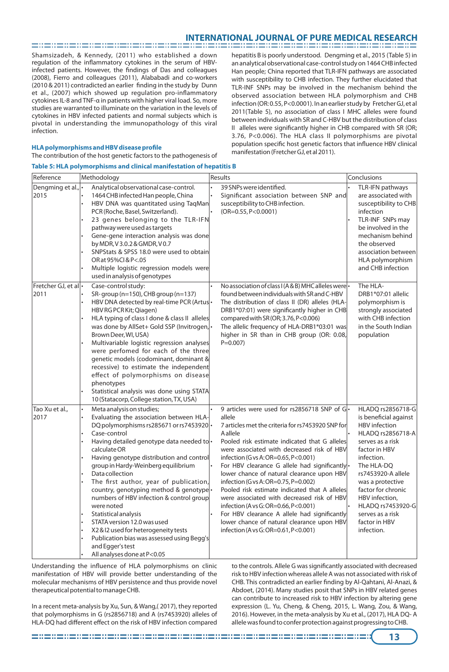Shamsizadeh, & Kennedy, (2011) who established a down regulation of the inflammatory cytokines in the serum of HBVinfected patients. However, the findings of Das and colleagues (2008), Fierro and colleagues (2011), Alababadi and co-workers  $(2010 \& 2011)$  contradicted an earlier finding in the study by Dunn et al., (2007) which showed up regulation pro-inflammatory cytokines IL-8 and TNF-α in patients with higher viral load. So, more studies are warranted to illuminate on the variation in the levels of cytokines in HBV infected patients and normal subjects which is pivotal in understanding the immunopathology of this viral infection.

#### **HLA polymorphisms and HBV disease profile**

The contribution of the host genetic factors to the pathogenesis of

**Table 5: HLA polymorphisms and clinical manifestation of hepatitis B** 

hepatitis B is poorly understood. Dengming et al., 2015 (Table 5) in an analytical observational case-control study on 1464 CHB infected Han people; China reported that TLR-IFN pathways are associated with susceptibility to CHB infection. They further elucidated that TLR-INF SNPs may be involved in the mechanism behind the observed association between HLA polymorphism and CHB infection (OR: 0.55, P<0.0001). In an earlier study by Fretcher GJ, et al 2011(Table 5), no association of class I MHC alleles were found between individuals with SR and C-HBV but the distribution of class II alleles were significantly higher in CHB compared with SR (OR; 3.76, P<0.006). The HLA class II polymorphisms are pivotal population specific host genetic factors that influence HBV clinical manifestation (Fretcher GJ, et al 2011).

| Reference                           | Methodology                                                                                                                                                                                                                                                                                                                                                                                                                                                                                                                                                                                                                                                | Results                                                                                                                                                                                                                                                                                                                                                                                                                                                                                                                                                                                                                                                                            | Conclusions                                                                                                                                                                                                                                                                                                        |
|-------------------------------------|------------------------------------------------------------------------------------------------------------------------------------------------------------------------------------------------------------------------------------------------------------------------------------------------------------------------------------------------------------------------------------------------------------------------------------------------------------------------------------------------------------------------------------------------------------------------------------------------------------------------------------------------------------|------------------------------------------------------------------------------------------------------------------------------------------------------------------------------------------------------------------------------------------------------------------------------------------------------------------------------------------------------------------------------------------------------------------------------------------------------------------------------------------------------------------------------------------------------------------------------------------------------------------------------------------------------------------------------------|--------------------------------------------------------------------------------------------------------------------------------------------------------------------------------------------------------------------------------------------------------------------------------------------------------------------|
| Dengming et al.,<br>2015            | Analytical observational case-control.<br>1464 CHB infected Han people, China<br>HBV DNA was quantitated using TaqMan<br>PCR (Roche, Basel, Switzerland).<br>23 genes belonging to the TLR-IFN<br>pathway were used as targets<br>Gene-gene interaction analysis was done<br>by MDR, V3.0.2 & GMDR, V0.7<br>SNPStats & SPSS 18.0 were used to obtain<br>OR at 95%Cl & P<.05<br>Multiple logistic regression models were<br>used in analysis of genotypes                                                                                                                                                                                                   | 39 SNPs were identified.<br>Significant association between SNP and<br>susceptibility to CHB infection.<br>$(OR=0.55, P<0.0001)$                                                                                                                                                                                                                                                                                                                                                                                                                                                                                                                                                   | TLR-IFN pathways<br>are associated with<br>susceptibility to CHB<br>infection<br>TLR-INF SNPs may<br>be involved in the<br>mechanism behind<br>the observed<br>association between<br>HLA polymorphism<br>and CHB infection                                                                                        |
| Fretcher GJ, et al  $\cdot$<br>2011 | Case-control study:<br>SR-group ( $n=150$ ), CHB group ( $n=137$ )<br>HBV DNA detected by real-time PCR (Artus<br>HBV RG PCR Kit; Qiagen)<br>HLA typing of class I done & class II alleles<br>was done by AllSet+ Gold SSP (Invitrogen,<br>Brown Deer, WI, USA)<br>Multivariable logistic regression analyses<br>were perfomed for each of the three<br>genetic models (codominant, dominant &<br>recessive) to estimate the independent<br>effect of polymorphisms on disease<br>phenotypes<br>Statistical analysis was done using STATA<br>10 (Statacorp, College station, TX, USA)                                                                      | No association of class I (A & B) MHC alleles were<br>found between individuals with SR and C-HBV<br>The distribution of class II (DR) alleles (HLA-<br>DRB1*07:01) were significantly higher in CHB<br>compared with SR (OR; 3.76, P<0.006)<br>The allelic frequency of HLA-DRB1*03:01 was<br>higher in SR than in CHB group (OR: 0.08,<br>$P = 0.007$                                                                                                                                                                                                                                                                                                                            | The HLA-<br>DRB1*07:01 allelic<br>polymorphism is<br>strongly associated<br>with CHB infection<br>in the South Indian<br>population                                                                                                                                                                                |
| Tao Xu et al.,<br>2017              | Meta analysis on studies;<br>Evaluating the association between HLA-<br>DQ polymorphisms rs285671 or rs7453920 <sup>1</sup><br>Case-control<br>Having detailed genotype data needed to-<br>calculate OR<br>Having genotype distribution and control<br>group in Hardy-Weinberg equilibrium<br>Data collection<br>The first author, year of publication,<br>country, genotyping method & genotype<br>numbers of HBV infection & control group<br>were noted<br>Statistical analysis<br>STATA version 12.0 was used<br>X2 & I2 used for heterogeneity tests<br>Publication bias was assessed using Begg's<br>and Egger's test<br>All analyses done at P<0.05 | 9 articles were used for rs2856718 SNP of G.<br>allele<br>7 articles met the criteria for rs7453920 SNP for<br>Aallele<br>Pooled risk estimate indicated that G alleles<br>were associated with decreased risk of HBV<br>infection (G vs A: OR=0.65, P<0.001)<br>For HBV clearance G allele had significantly .<br>lower chance of natural clearance upon HBV<br>infection (G vs A: OR=0.75, P=0.002)<br>Pooled risk estimate indicated that A alleles<br>were associated with decreased risk of HBV<br>infection (A vs G: OR=0.66, P<0.001)<br>For HBV clearance A allele had significantly<br>lower chance of natural clearance upon HBV<br>infection (A vs G: OR=0.61, P<0.001) | HLADQ rs2856718-G<br>is beneficial against<br><b>HBV</b> infection<br>HLADO rs2856718-A<br>serves as a risk<br>factor in HBV<br>infection.<br>The HLA-DQ<br>rs7453920-A allele<br>was a protective<br>factor for chronic<br>HBV infection,<br>HLADQ rs7453920-G<br>serves as a risk<br>factor in HBV<br>infection. |

Understanding the influence of HLA polymorphisms on clinic manifestation of HBV will provide better understanding of the molecular mechanisms of HBV persistence and thus provide novel therapeutical potential to manage CHB.

In a recent meta-analysis by Xu, Sun, & Wang,( 2017), they reported that polymorphisms in G (rs2856718) and A (rs7453920) alleles of HLA-DQ had different effect on the risk of HBV infection compared to the controls. Allele G was significantly associated with decreased risk to HBV infection whereas allele A was not associated with risk of CHB. This contradicted an earlier finding by Al-Qahtani, Al-Anazi, & Abdoet, (2014). Many studies posit that SNPs in HBV related genes can contribute to increased risk to HBV infection by altering gene expression (L. Yu, Cheng, & Cheng, 2015, L. Wang, Zou, & Wang, 2016). However, in the meta-analysis by Xu et al., (2017), HLA DQ- A allele was found to confer protection against progressing to CHB.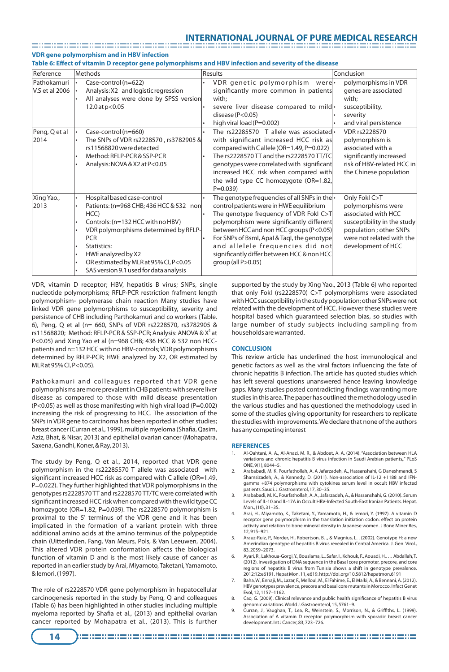**VDR gene polymorphism and in HBV infection** 

**Table 6: Effect of vitamin D receptor gene polymorphisms and HBV infection and severity of the disease**

| Reference                     | Methods                                                                                                                                                                                                                                                                                            | Results                                                                                                                                                                                                                                                                                                                                                                                       | Conclusion                                                                                                                                                             |
|-------------------------------|----------------------------------------------------------------------------------------------------------------------------------------------------------------------------------------------------------------------------------------------------------------------------------------------------|-----------------------------------------------------------------------------------------------------------------------------------------------------------------------------------------------------------------------------------------------------------------------------------------------------------------------------------------------------------------------------------------------|------------------------------------------------------------------------------------------------------------------------------------------------------------------------|
| Pathokamuri<br>V.S et al 2006 | Case-control (n=622)<br>$\bullet$<br>Analysis: X2 and logistic regression<br>All analyses were done by SPSS version<br>12.0 at p<0.05                                                                                                                                                              | VDR genetic polymorphism<br>werel•<br>significantly more common in patients<br>with;<br>severe liver disease compared to mild.<br>disease ( $P<0.05$ )<br>high viral load (P=0.002)                                                                                                                                                                                                           | polymorphisms in VDR<br>genes are associated<br>with:<br>susceptibility,<br>severity<br>and viral persistence                                                          |
| Peng, Q et al<br>2014         | Case-control (n=660)<br>The SNPs of VDR rs2228570, rs3782905 &<br>rs11568820 were detected<br>Method: RFLP-PCR & SSP-PCR<br>Analysis: NOVA & X2 at P<0.05                                                                                                                                          | The rs22285570 T allele was associated $\cdot$<br>with significant increased HCC risk as<br>compared with Callele (OR=1.49, P=0.022)<br>The rs2228570 TT and the rs2228570 TT/TC<br>genotypes were correlated with significant<br>increased HCC risk when compared with<br>the wild type CC homozygote (OR=1.82,<br>$P = 0.039$                                                               | VDR rs2228570<br>polymorphism is<br>associated with a<br>significantly increased<br>risk of HBV-related HCC in<br>the Chinese population                               |
| Xing Yao.,<br>2013            | Hospital based case-control<br>Patients: (n=968 CHB; 436 HCC & 532 non<br>HCC)<br>Controls: (n=132 HCC with no HBV)<br>VDR polymorphisms determined by RFLP-<br><b>PCR</b><br>Statistics:<br>HWE analyzed by X2<br>OR estimated by MLR at 95% CI, P<0.05<br>SAS version 9.1 used for data analysis | The genotype frequencies of all SNPs in the $\cdot$<br>control patients were in HWE equilibrium<br>The genotype frequency of VDR Fokl C>T<br>polymorphism were significantly different<br>between HCC and non HCC groups (P<0.05)<br>For SNPs of Bsml, Apal & Tagl, the genotype<br>and allelele frequencies did not<br>significantly differ between HCC & non HCC<br>group (all $P > 0.05$ ) | Only Fokl C>T<br>polymorphisms were<br>associated with HCC<br>susceptibility in the study<br>population; other SNPs<br>were not related with the<br>development of HCC |

VDR, vitamin D receptor; HBV, hepatitis B virus; SNPs, single nucleotide polymorphisms; RFLP-PCR restriction frafment length polymorphism- polymerase chain reaction Many studies have linked VDR gene polymorphisms to susceptibility, severity and persistence of CHB including Parthokamuri and co workers (Table. 6), Peng, Q et al (n= 660, SNPs of VDR rs2228570, rs3782905 & rs11568820; Method: RFLP-PCR & SSP-PCR; Analysis: ANOVA & X<sup>2</sup> at P<0.05) and Xing Yao et al (n=968 CHB; 436 HCC & 532 non HCCpatients and n=132 HCC with no HBV-controls; VDR polymorphisms determined by RFLP-PCR; HWE analyzed by X2, OR estimated by MLR at 95% CI, P<0.05).

Pathokamuri and colleagues reported that VDR gene polymorphisms are more prevalent in CHB patients with severe liver disease as compared to those with mild disease presentation  $(P<0.05)$  as well as those manifesting with high viral load  $(P=0.002)$ increasing the risk of progressing to HCC. The association of the SNPs in VDR gene to carcinoma has been reported in other studies; breast cancer (Curran et al., 1999), multiple myeloma (Shafia, Qasim, Aziz, Bhat, & Nisar, 2013) and epithelial ovarian cancer (Mohapatra, Saxena, Gandhi, Koner, & Ray, 2013).

The study by Peng, Q et al., 2014, reported that VDR gene polymorphism in the rs22285570 T allele was associated with significant increased HCC risk as compared with C allele (OR=1.49, P=0.022). They further highlighted that VDR polymorphisms in the genotypes rs2228570 TT and rs2228570 TT/TC were correlated with significant increased HCC risk when compared with the wild type CC homozygote (OR=1.82, P=0.039). The rs2228570 polymorphism is proximal to the 5' terminus of the VDR gene and it has been implicated in the formation of a variant protein with three additional amino acids at the amino terminus of the polypeptide chain (Uitterlinden, Fang, Van Meurs, Pols, & Van Leeuwen, 2004). This altered VDR protein conformation affects the biological function of vitamin D and is the most likely cause of cancer as reported in an earlier study by Arai, Miyamoto, Taketani, Yamamoto, & Iemori, (1997).

The role of rs2228570 VDR gene polymorphism in hepatocellular carcinogenesis reported in the study by Peng, Q and colleagues (Table 6) has been highlighted in other studies including multiple myeloma reported by Shafia et al., (2013) and epithelial ovarian cancer reported by Mohapatra et al., (2013). This is further

supported by the study by Xing Yao., 2013 (Table 6) who reported that only FokI (rs2228570) C>T polymorphisms were associated with HCC susceptibility in the study population; other SNPs were not related with the development of HCC. However these studies were hospital based which guaranteed selection bias, so studies with large number of study subjects including sampling from households are warranted.

### **CONCLUSION**

This review article has underlined the host immunological and genetic factors as well as the viral factors influencing the fate of chronic hepatitis B infection. The article has quoted studies which has left several questions unanswered hence leaving knowledge gaps. Many studies posted contradicting findings warranting more studies in this area. The paper has outlined the methodology used in the various studies and has questioned the methodology used in some of the studies giving opportunity for researchers to replicate the studies with improvements. We declare that none of the authors has any competing interest

#### **REFERENCES**

- 1. Al-Qahtani, A. A., Al-Anazi, M. R., & Abdoet, A. A. (2014). "Association between HLA variations and chronic hepatitis B virus infection in Saudi Arabian patients,." PLoS ONE, 9(1), 8044–5.
- 2. Arababadi, M. K. Pourfathollah, A. A Jafarzadeh, A., Hassanshahi, G Daneshmandi, S Shamsizadeh, A., & Kennedy, D. (2011). Non-association of IL-12 +1188 and IFNgamma +874 polymorphisms with cytokines serum level in occult HBV infected
- patients. Saudi. J. Gastroenterol, 17, 30–35. 3. Arababadi, M. K., Pourfathollah, A. A., Jafarzadeh, A., & Hassanshahi, G. (2010). Serum Levels of IL-10 and IL-17A in Occult HBV-Infected South-East Iranian Patients. Hepat. Mon., (10), 31–35.
- 4. Arai, H., Miyamoto, K., Taketani, Y., Yamamoto, H., & Iemori, Y. (1997). A vitamin D receptor gene polymorphism in the translation initiation codon: effect on protein activity and relation to bone mineral density in Japanese women. J Bone Miner Res, 12, 915–921.
- 5. Arauz-Ruiz, P., Norder, H., Robertson, B. ., & Magnius, L. . (2002). Genotype H: a new Amerindian genotype of hepatitis B virus revealed in Central America. J. Gen. Virol., 83, 2059–2073.
- 6. Ayari, R., Lakhoua-Gorgi, Y., Bouslama, L., Safar, I., Kchouk, F., Aouadi, H., … Abdallah, T. (2012). Investigation of DNA sequence in the Basal core promoter, precore, and core regions of hepatitis B virus from Tunisia shows a shift in genotype prevalence. 2012;12:e6191. Hepat Mon, 11, e619. http://doi.org/10.5812/hepatmon.6191
- Baha, W., Ennaji, M., Lazar, F., Melloul, M., El Fahime, E., El Malki, A., & Bennani, A. (2012). HBV genotypes prevalence, precore and basal core mutants in Morocco. Infect Genet Evol, 12, 1157–1162.
- 8. Cao, G. (2009). Clinical relevance and public health significance of hepatitis B virus genomic variations. World J. Gastroenterol, 15, 5761–9.
- 9. Curran, J., Vaughan, T., Lea, R., Weinstein, S., Morrison, N., & Griffiths, L. (1999). Association of A vitamin D receptor polymorphism with sporadic breast cancer development. Int J Cancer, 83, 723–726.